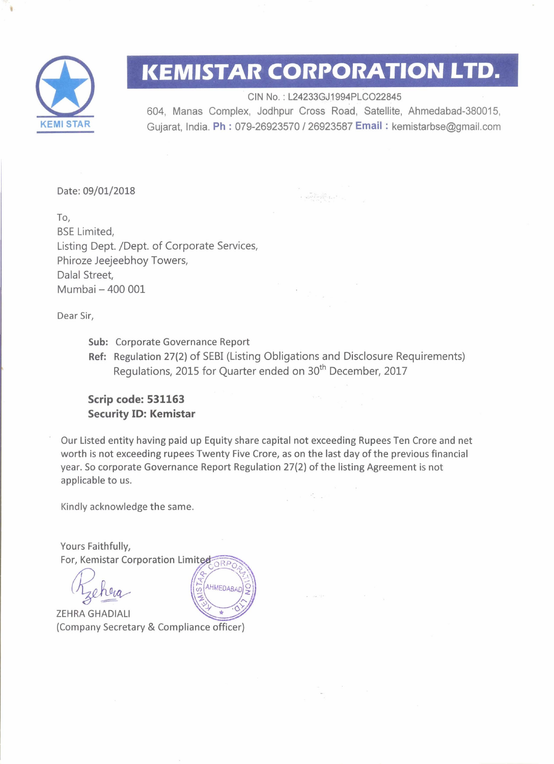

## **KEMISTAR CORPORATION LTD.**

CIN No. : L24233GJ1994PLC022845 604, Manas Complex, Jodhpur Cross Road, Satellite, Ahmedabad-380015, Gujarat, India. Ph : 079-26923570 <sup>I</sup>26923587 **Email** : kemistarbse@gmail.com

 $\label{eq:1} \begin{array}{lll} \displaystyle \frac{\partial^2 \left( \lambda_1 \right)_{\alpha} \left( \lambda_2 \right) }{\partial \left( \lambda_1 \right)_{\alpha} \left( \lambda_2 \right) } \\ \displaystyle \qquad + \left( \lambda_1 \right) \partial^2 \left( \lambda_1 \right) \partial^2 \left( \lambda_2 \right) \\ \displaystyle \qquad + \left( \lambda_1 \right) \partial^2 \left( \lambda_1 \right) \partial^2 \left( \lambda_1 \right) \end{array}$ 

Date: 09/01/2018

To, BSE Limited, Listing Dept. /Dept. of Corporate Services, Phiroze Jeejeebhoy Towers, Dalal Street, Mumbai - **400 001** 

Dear Sir,

- Sub: Corporate Governance Report
- Ref: Regulation 27(2) of SEBI (Listing Obligations and Disclosure Requirements) Regulations, 2015 for Quarter ended on 30<sup>th</sup> December, 2017

## **Scrip code: 531163 Security ID: Kemistar**

Our Listed entity having paid up Equity share capital not exceeding Rupees Ten Crore and net worth is not exceeding rupees Twenty Five Crore, as on the last day of the previous financial year. So corporate Governance Report Regulation 27(2) of the listing Agreement is not applicable to us.

AHMEDABAD

Kindly acknowledge the same.

Yours Faithfully,<br>For, Kemistar Corporation Limited

ZEHRA GHADlALl (Company Secretary & Compliance officer)